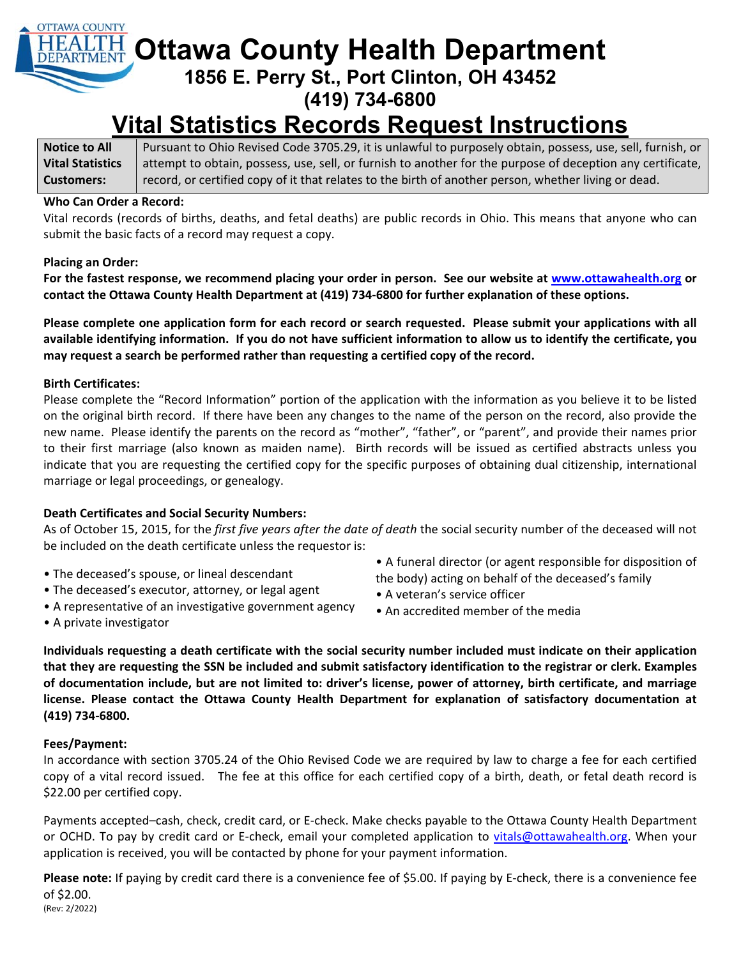# **OTTAWA COUNTY Ottawa County Health Department**

**1856 E. Perry St., Port Clinton, OH 43452** 

**(419) 734-6800** 

# **Vital Statistics Records Request Instructions**

**Notice to All Vital Statistics Customers:**  Pursuant to Ohio Revised Code 3705.29, it is unlawful to purposely obtain, possess, use, sell, furnish, or attempt to obtain, possess, use, sell, or furnish to another for the purpose of deception any certificate, record, or certified copy of it that relates to the birth of another person, whether living or dead.

#### **Who Can Order a Record:**

Vital records (records of births, deaths, and fetal deaths) are public records in Ohio. This means that anyone who can submit the basic facts of a record may request a copy.

### **Placing an Order:**

**For the fastest response, we recommend placing your order in person. See our website at www.ottawahealth.org or contact the Ottawa County Health Department at (419) 734‐6800 for further explanation of these options.** 

**Please complete one application form for each record or search requested. Please submit your applications with all available identifying information. If you do not have sufficient information to allow us to identify the certificate, you**  may request a search be performed rather than requesting a certified copy of the record.

### **Birth Certificates:**

Please complete the "Record Information" portion of the application with the information as you believe it to be listed on the original birth record. If there have been any changes to the name of the person on the record, also provide the new name. Please identify the parents on the record as "mother", "father", or "parent", and provide their names prior to their first marriage (also known as maiden name). Birth records will be issued as certified abstracts unless you indicate that you are requesting the certified copy for the specific purposes of obtaining dual citizenship, international marriage or legal proceedings, or genealogy.

### **Death Certificates and Social Security Numbers:**

As of October 15, 2015, for the *first five years after the date of death* the social security number of the deceased will not be included on the death certificate unless the requestor is:

- The deceased's spouse, or lineal descendant
- The deceased's executor, attorney, or legal agent
- A representative of an investigative government agency
- A funeral director (or agent responsible for disposition of the body) acting on behalf of the deceased's family
- A veteran's service officer
- An accredited member of the media

• A private investigator

**Individuals requesting a death certificate with the social security number included must indicate on their application that they are requesting the SSN be included and submit satisfactory identification to the registrar or clerk. Examples of documentation include, but are not limited to: driver's license, power of attorney, birth certificate, and marriage**  license. Please contact the Ottawa County Health Department for explanation of satisfactory documentation at **(419) 734‐6800.** 

### **Fees/Payment:**

In accordance with section 3705.24 of the Ohio Revised Code we are required by law to charge a fee for each certified copy of a vital record issued. The fee at this office for each certified copy of a birth, death, or fetal death record is \$22.00 per certified copy.

Payments accepted–cash, check, credit card, or E‐check. Make checks payable to the Ottawa County Health Department or OCHD. To pay by credit card or E-check, email your completed application to vitals@ottawahealth.org. When your application is received, you will be contacted by phone for your payment information.

(Rev: 2/2022) **Please note:** If paying by credit card there is a convenience fee of \$5.00. If paying by E‐check, there is a convenience fee of \$2.00.